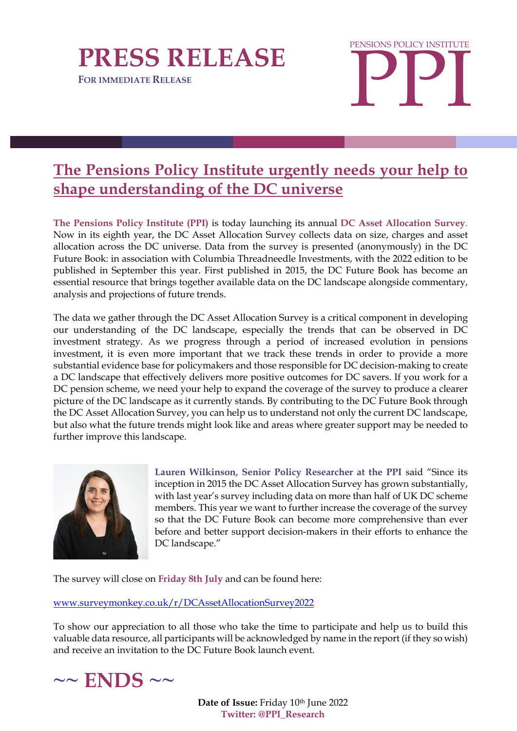

**FOR IMMEDIATE RELEASE** 



## **The Pensions Policy Institute urgently needs your help to shape understanding of the DC universe**

**The Pensions Policy Institute (PPI)** is today launching its annual **DC Asset Allocation Survey**. Now in its eighth year, the DC Asset Allocation Survey collects data on size, charges and asset allocation across the DC universe. Data from the survey is presented (anonymously) in the DC Future Book: in association with Columbia Threadneedle Investments, with the 2022 edition to be published in September this year. First published in 2015, the DC Future Book has become an essential resource that brings together available data on the DC landscape alongside commentary, analysis and projections of future trends.

The data we gather through the DC Asset Allocation Survey is a critical component in developing our understanding of the DC landscape, especially the trends that can be observed in DC investment strategy. As we progress through a period of increased evolution in pensions investment, it is even more important that we track these trends in order to provide a more substantial evidence base for policymakers and those responsible for DC decision-making to create a DC landscape that effectively delivers more positive outcomes for DC savers. If you work for a DC pension scheme, we need your help to expand the coverage of the survey to produce a clearer picture of the DC landscape as it currently stands. By contributing to the DC Future Book through the DC Asset Allocation Survey, you can help us to understand not only the current DC landscape, but also what the future trends might look like and areas where greater support may be needed to further improve this landscape.



**Lauren Wilkinson, Senior Policy Researcher at the PPI** said "Since its inception in 2015 the DC Asset Allocation Survey has grown substantially, with last year's survey including data on more than half of UK DC scheme members. This year we want to further increase the coverage of the survey so that the DC Future Book can become more comprehensive than ever before and better support decision-makers in their efforts to enhance the DC landscape."

The survey will close on **Friday 8th July** and can be found here:

[www.surveymonkey.co.uk/r/DCAssetAllocationSurvey2022](http://www.surveymonkey.co.uk/r/DCAssetAllocationSurvey2022)

To show our appreciation to all those who take the time to participate and help us to build this valuable data resource, all participants will be acknowledged by name in the report (if they so wish) and receive an invitation to the DC Future Book launch event.